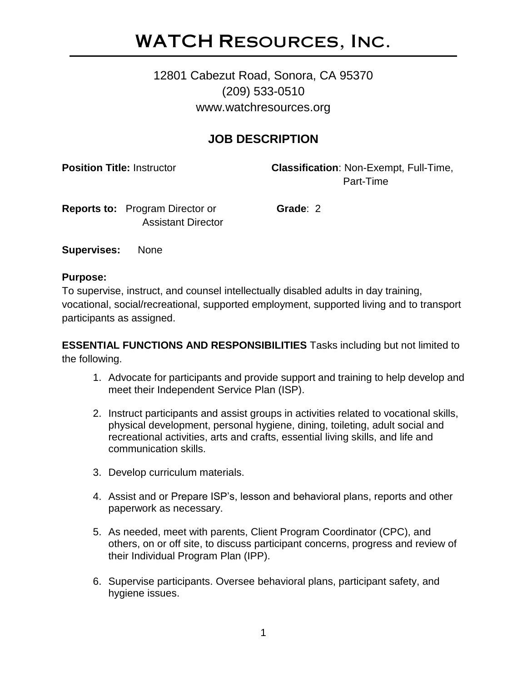# WATCH Resources, Inc.

# 12801 Cabezut Road, Sonora, CA 95370 (209) 533-0510 www.watchresources.org

## **JOB DESCRIPTION**

**Position Title:** Instructor **Classification**: Non-Exempt, Full-Time, Part-Time

**Reports to: Program Director or <b>Grade**: 2 Assistant Director

**Supervises:** None

#### **Purpose:**

To supervise, instruct, and counsel intellectually disabled adults in day training, vocational, social/recreational, supported employment, supported living and to transport participants as assigned.

**ESSENTIAL FUNCTIONS AND RESPONSIBILITIES** Tasks including but not limited to the following.

- 1. Advocate for participants and provide support and training to help develop and meet their Independent Service Plan (ISP).
- 2. Instruct participants and assist groups in activities related to vocational skills, physical development, personal hygiene, dining, toileting, adult social and recreational activities, arts and crafts, essential living skills, and life and communication skills.
- 3. Develop curriculum materials.
- 4. Assist and or Prepare ISP's, lesson and behavioral plans, reports and other paperwork as necessary.
- 5. As needed, meet with parents, Client Program Coordinator (CPC), and others, on or off site, to discuss participant concerns, progress and review of their Individual Program Plan (IPP).
- 6. Supervise participants. Oversee behavioral plans, participant safety, and hygiene issues.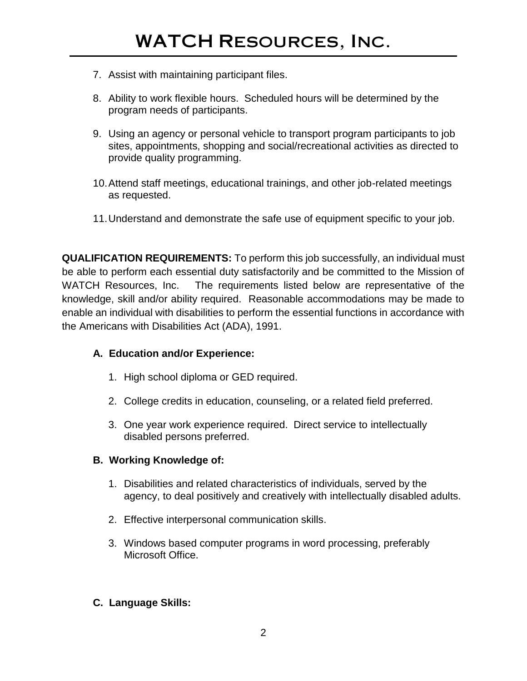- 7. Assist with maintaining participant files.
- 8. Ability to work flexible hours. Scheduled hours will be determined by the program needs of participants.
- 9. Using an agency or personal vehicle to transport program participants to job sites, appointments, shopping and social/recreational activities as directed to provide quality programming.
- 10.Attend staff meetings, educational trainings, and other job-related meetings as requested.
- 11.Understand and demonstrate the safe use of equipment specific to your job.

**QUALIFICATION REQUIREMENTS:** To perform this job successfully, an individual must be able to perform each essential duty satisfactorily and be committed to the Mission of WATCH Resources, Inc. The requirements listed below are representative of the knowledge, skill and/or ability required. Reasonable accommodations may be made to enable an individual with disabilities to perform the essential functions in accordance with the Americans with Disabilities Act (ADA), 1991.

## **A. Education and/or Experience:**

- 1. High school diploma or GED required.
- 2. College credits in education, counseling, or a related field preferred.
- 3. One year work experience required. Direct service to intellectually disabled persons preferred.

## **B. Working Knowledge of:**

- 1. Disabilities and related characteristics of individuals, served by the agency, to deal positively and creatively with intellectually disabled adults.
- 2. Effective interpersonal communication skills.
- 3. Windows based computer programs in word processing, preferably Microsoft Office.

## **C. Language Skills:**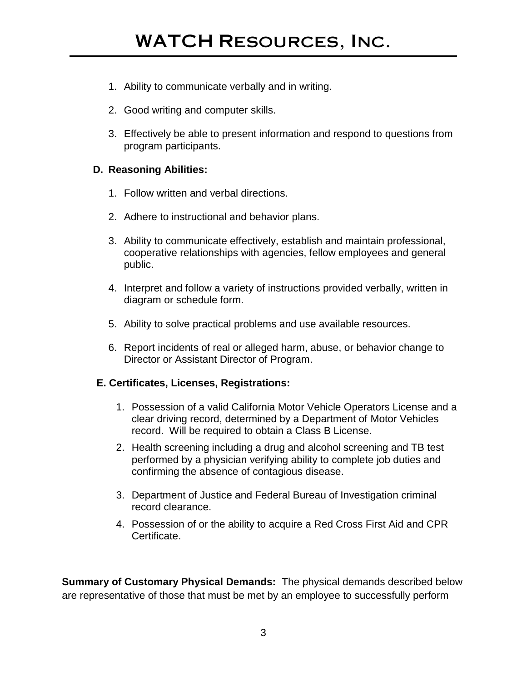- 1. Ability to communicate verbally and in writing.
- 2. Good writing and computer skills.
- 3. Effectively be able to present information and respond to questions from program participants.

#### **D. Reasoning Abilities:**

- 1. Follow written and verbal directions.
- 2. Adhere to instructional and behavior plans.
- 3. Ability to communicate effectively, establish and maintain professional, cooperative relationships with agencies, fellow employees and general public.
- 4. Interpret and follow a variety of instructions provided verbally, written in diagram or schedule form.
- 5. Ability to solve practical problems and use available resources.
- 6. Report incidents of real or alleged harm, abuse, or behavior change to Director or Assistant Director of Program.

## **E. Certificates, Licenses, Registrations:**

- 1. Possession of a valid California Motor Vehicle Operators License and a clear driving record, determined by a Department of Motor Vehicles record. Will be required to obtain a Class B License.
- 2. Health screening including a drug and alcohol screening and TB test performed by a physician verifying ability to complete job duties and confirming the absence of contagious disease.
- 3. Department of Justice and Federal Bureau of Investigation criminal record clearance.
- 4. Possession of or the ability to acquire a Red Cross First Aid and CPR Certificate.

**Summary of Customary Physical Demands:** The physical demands described below are representative of those that must be met by an employee to successfully perform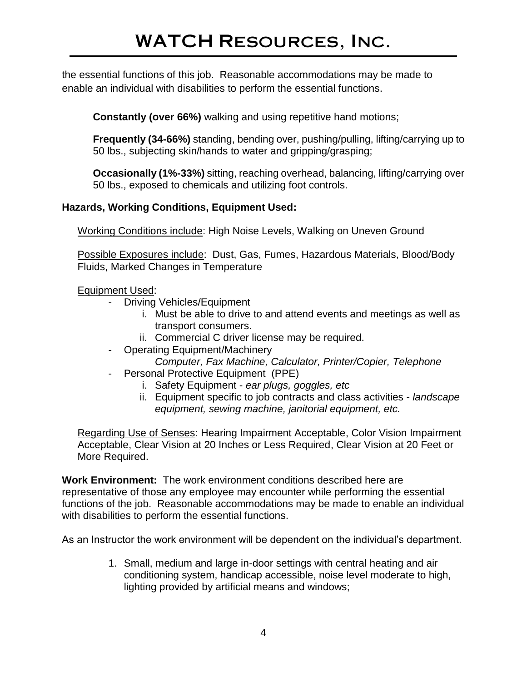the essential functions of this job. Reasonable accommodations may be made to enable an individual with disabilities to perform the essential functions.

**Constantly (over 66%)** walking and using repetitive hand motions;

**Frequently (34-66%)** standing, bending over, pushing/pulling, lifting/carrying up to 50 lbs., subjecting skin/hands to water and gripping/grasping;

**Occasionally (1%-33%)** sitting, reaching overhead, balancing, lifting/carrying over 50 lbs., exposed to chemicals and utilizing foot controls.

## **Hazards, Working Conditions, Equipment Used:**

Working Conditions include: High Noise Levels, Walking on Uneven Ground

Possible Exposures include: Dust, Gas, Fumes, Hazardous Materials, Blood/Body Fluids, Marked Changes in Temperature

## Equipment Used:

- Driving Vehicles/Equipment
	- i. Must be able to drive to and attend events and meetings as well as transport consumers.
	- ii. Commercial C driver license may be required.
- Operating Equipment/Machinery *Computer, Fax Machine, Calculator, Printer/Copier, Telephone*
- Personal Protective Equipment (PPE)
	- i. Safety Equipment *ear plugs, goggles, etc*
	- ii. Equipment specific to job contracts and class activities *landscape equipment, sewing machine, janitorial equipment, etc.*

Regarding Use of Senses: Hearing Impairment Acceptable, Color Vision Impairment Acceptable, Clear Vision at 20 Inches or Less Required, Clear Vision at 20 Feet or More Required.

**Work Environment:** The work environment conditions described here are representative of those any employee may encounter while performing the essential functions of the job. Reasonable accommodations may be made to enable an individual with disabilities to perform the essential functions.

As an Instructor the work environment will be dependent on the individual's department.

1. Small, medium and large in-door settings with central heating and air conditioning system, handicap accessible, noise level moderate to high, lighting provided by artificial means and windows;